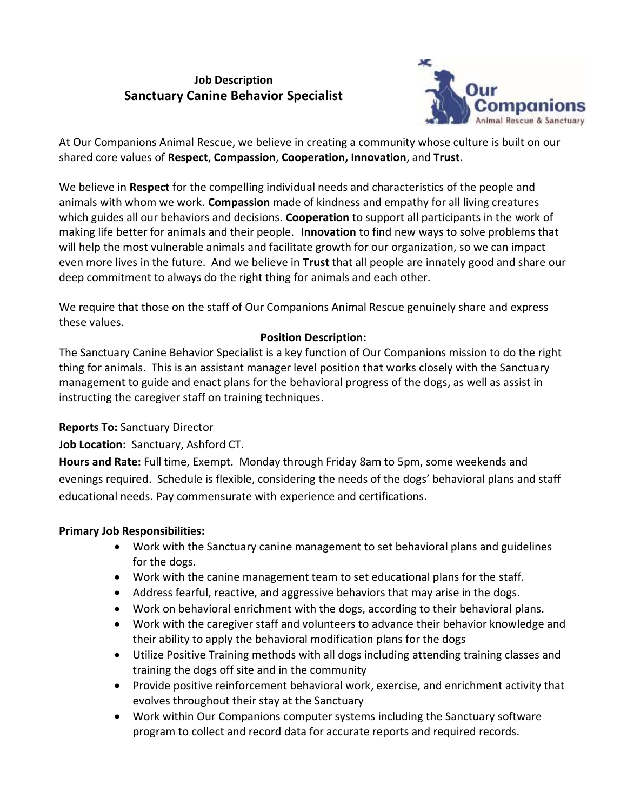# **Job Description Sanctuary Canine Behavior Specialist**



At Our Companions Animal Rescue, we believe in creating a community whose culture is built on our shared core values of **Respect**, **Compassion**, **Cooperation, Innovation**, and **Trust**.

We believe in **Respect** for the compelling individual needs and characteristics of the people and animals with whom we work. **Compassion** made of kindness and empathy for all living creatures which guides all our behaviors and decisions. **Cooperation** to support all participants in the work of making life better for animals and their people. **Innovation** to find new ways to solve problems that will help the most vulnerable animals and facilitate growth for our organization, so we can impact even more lives in the future. And we believe in **Trust** that all people are innately good and share our deep commitment to always do the right thing for animals and each other.

We require that those on the staff of Our Companions Animal Rescue genuinely share and express these values.

#### **Position Description:**

The Sanctuary Canine Behavior Specialist is a key function of Our Companions mission to do the right thing for animals. This is an assistant manager level position that works closely with the Sanctuary management to guide and enact plans for the behavioral progress of the dogs, as well as assist in instructing the caregiver staff on training techniques.

## **Reports To:** Sanctuary Director

## **Job Location:** Sanctuary, Ashford CT.

**Hours and Rate:** Full time, Exempt. Monday through Friday 8am to 5pm, some weekends and evenings required. Schedule is flexible, considering the needs of the dogs' behavioral plans and staff educational needs. Pay commensurate with experience and certifications.

## **Primary Job Responsibilities:**

- Work with the Sanctuary canine management to set behavioral plans and guidelines for the dogs.
- Work with the canine management team to set educational plans for the staff.
- Address fearful, reactive, and aggressive behaviors that may arise in the dogs.
- Work on behavioral enrichment with the dogs, according to their behavioral plans.
- Work with the caregiver staff and volunteers to advance their behavior knowledge and their ability to apply the behavioral modification plans for the dogs
- Utilize Positive Training methods with all dogs including attending training classes and training the dogs off site and in the community
- Provide positive reinforcement behavioral work, exercise, and enrichment activity that evolves throughout their stay at the Sanctuary
- Work within Our Companions computer systems including the Sanctuary software program to collect and record data for accurate reports and required records.